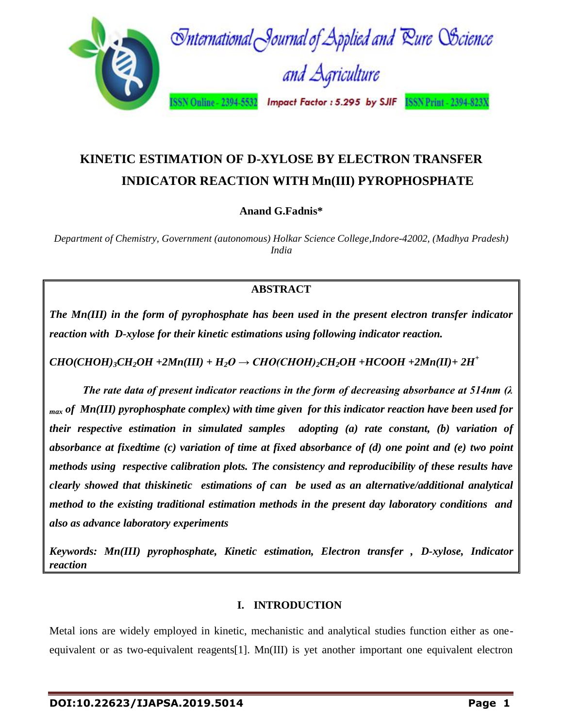

# **KINETIC ESTIMATION OF D-XYLOSE BY ELECTRON TRANSFER INDICATOR REACTION WITH Mn(III) PYROPHOSPHATE**

**Anand G.Fadnis\***

*Department of Chemistry, Government (autonomous) Holkar Science College,Indore-42002, (Madhya Pradesh) India*

### **ABSTRACT**

*The Mn(III) in the form of pyrophosphate has been used in the present electron transfer indicator reaction with D-xylose for their kinetic estimations using following indicator reaction.*

 $CHO(CHOH)$ <sup>2</sup> $CH_2OH$  +2 $Mn(III)$  +  $H_2O \rightarrow CHO(CHOH)$ <sub>2</sub> $CH_2OH$  + $HCOOH$  +2 $Mn(II)$  +  $2H^+$ 

*The rate data of present indicator reactions in the form of decreasing absorbance at 514nm (λ max of Mn(III) pyrophosphate complex) with time given for this indicator reaction have been used for their respective estimation in simulated samples adopting (a) rate constant, (b) variation of absorbance at fixedtime (c) variation of time at fixed absorbance of (d) one point and (e) two point methods using respective calibration plots. The consistency and reproducibility of these results have clearly showed that thiskinetic estimations of can be used as an alternative/additional analytical method to the existing traditional estimation methods in the present day laboratory conditions and also as advance laboratory experiments*

*Keywords: Mn(III) pyrophosphate, Kinetic estimation, Electron transfer , D-xylose, Indicator reaction*

### **I. INTRODUCTION**

Metal ions are widely employed in kinetic, mechanistic and analytical studies function either as oneequivalent or as two-equivalent reagents[1]. Mn(III) is yet another important one equivalent electron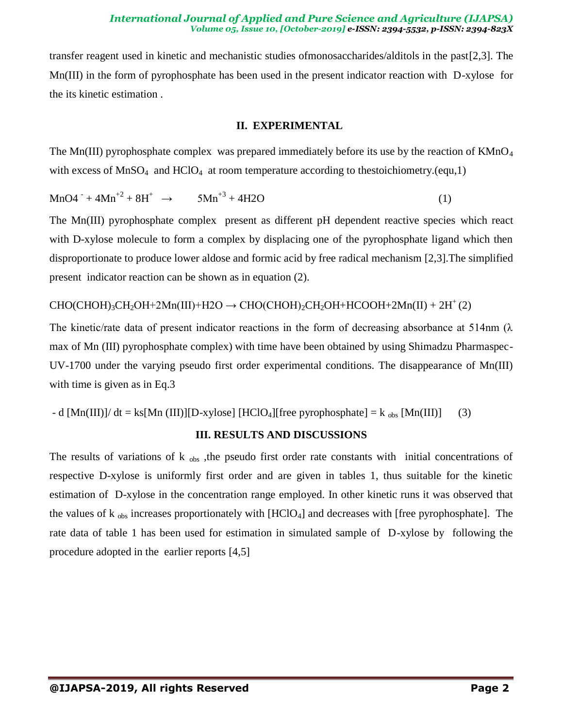#### *International Journal of Applied and Pure Science and Agriculture (IJAPSA) Volume 05, Issue 10, [October-2019] e-ISSN: 2394-5532, p-ISSN: 2394-823X*

transfer reagent used in kinetic and mechanistic studies ofmonosaccharides/alditols in the past[2,3]. The Mn(III) in the form of pyrophosphate has been used in the present indicator reaction with D-xylose for the its kinetic estimation .

#### **II. EXPERIMENTAL**

The Mn(III) pyrophosphate complex was prepared immediately before its use by the reaction of  $KMnO<sub>4</sub>$ with excess of  $MnSO_4$  and  $HClO_4$  at room temperature according to thestoichiometry.(equ,1)

$$
MnO4^{-} + 4Mn^{+2} + 8H^{+} \rightarrow 5Mn^{+3} + 4H2O \tag{1}
$$

The Mn(III) pyrophosphate complex present as different pH dependent reactive species which react with D-xylose molecule to form a complex by displacing one of the pyrophosphate ligand which then disproportionate to produce lower aldose and formic acid by free radical mechanism [2,3].The simplified present indicator reaction can be shown as in equation (2).

#### $CHO(CHOH_3CH_2OH+2Mn(III)+H2O \rightarrow CHO(CHOH_2CH_2OH+HCOOH+2Mn(II)+2H<sup>+</sup>(2)$

The kinetic/rate data of present indicator reactions in the form of decreasing absorbance at 514nm ( $\lambda$ ) max of Mn (III) pyrophosphate complex) with time have been obtained by using Shimadzu Pharmaspec-UV-1700 under the varying pseudo first order experimental conditions. The disappearance of Mn(III) with time is given as in Eq.3

- d 
$$
[Mn(III)]/ dt = ks[Mn(III)][D-xylose]
$$
 [HClO<sub>4</sub>][free pyrophosphate] =  $k_{obs}$  [Mn(III)] (3)

### **III. RESULTS AND DISCUSSIONS**

The results of variations of  $k_{obs}$ , the pseudo first order rate constants with initial concentrations of respective D-xylose is uniformly first order and are given in tables 1, thus suitable for the kinetic estimation of D-xylose in the concentration range employed. In other kinetic runs it was observed that the values of  $k_{obs}$  increases proportionately with [HClO<sub>4</sub>] and decreases with [free pyrophosphate]. The rate data of table 1 has been used for estimation in simulated sample of D-xylose by following the procedure adopted in the earlier reports [4,5]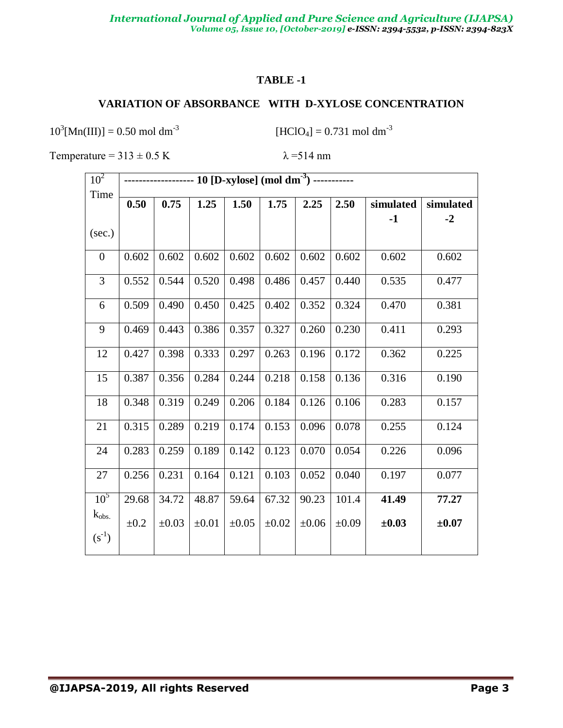#### **TABLE -1**

### **VARIATION OF ABSORBANCE WITH D-XYLOSE CONCENTRATION**

 $10^3$ [Mn(III)] = 0.50 mol dm<sup>-3</sup>

 $[HCIO_4] = 0.731 \text{ mol dm}^{-3}$ 

Temperature =  $313 \pm 0.5$  K  $\lambda$  = 514 nm

| 10 <sup>2</sup>  |           |            |            |            |            |            |            |            |            |
|------------------|-----------|------------|------------|------------|------------|------------|------------|------------|------------|
| Time             |           |            |            |            |            |            |            |            |            |
|                  | 0.50      | 0.75       | 1.25       | 1.50       | 1.75       | 2.25       | 2.50       | simulated  | simulated  |
|                  |           |            |            |            |            |            |            | $-1$       | $-2$       |
| (sec.)           |           |            |            |            |            |            |            |            |            |
| $\boldsymbol{0}$ | 0.602     | 0.602      | 0.602      | 0.602      | 0.602      | 0.602      | 0.602      | 0.602      | 0.602      |
| 3                | 0.552     | 0.544      | 0.520      | 0.498      | 0.486      | 0.457      | 0.440      | 0.535      | 0.477      |
| 6                | 0.509     | 0.490      | 0.450      | 0.425      | 0.402      | 0.352      | 0.324      | 0.470      | 0.381      |
| 9                | 0.469     | 0.443      | 0.386      | 0.357      | 0.327      | 0.260      | 0.230      | 0.411      | 0.293      |
| 12               | 0.427     | 0.398      | 0.333      | 0.297      | 0.263      | 0.196      | 0.172      | 0.362      | 0.225      |
| 15               | 0.387     | 0.356      | 0.284      | 0.244      | 0.218      | 0.158      | 0.136      | 0.316      | 0.190      |
| 18               | 0.348     | 0.319      | 0.249      | 0.206      | 0.184      | 0.126      | 0.106      | 0.283      | 0.157      |
| 21               | 0.315     | 0.289      | 0.219      | 0.174      | 0.153      | 0.096      | 0.078      | 0.255      | 0.124      |
| 24               | 0.283     | 0.259      | 0.189      | 0.142      | 0.123      | 0.070      | 0.054      | 0.226      | 0.096      |
| 27               | 0.256     | 0.231      | 0.164      | 0.121      | 0.103      | 0.052      | 0.040      | 0.197      | 0.077      |
| 10 <sup>5</sup>  | 29.68     | 34.72      | 48.87      | 59.64      | 67.32      | 90.23      | 101.4      | 41.49      | 77.27      |
| $k_{obs.}$       | $\pm 0.2$ | $\pm 0.03$ | $\pm 0.01$ | $\pm 0.05$ | $\pm 0.02$ | $\pm 0.06$ | $\pm 0.09$ | $\pm 0.03$ | $\pm 0.07$ |
| $(s^{-1})$       |           |            |            |            |            |            |            |            |            |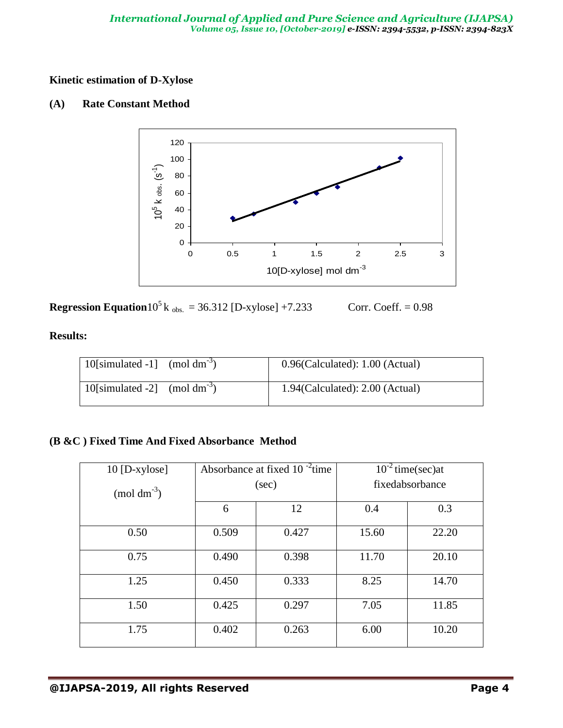### **Kinetic estimation of D-Xylose**

### **(A) Rate Constant Method**



**Regression Equation**10<sup>5</sup> k <sub>obs.</sub> = 36.312 [D-xylose] +7.233 Corr. Coeff. = 0.98

### **Results:**

| 10 [simulated -1] $\pmod{dm^{-3}}$ | $0.96$ (Calculated): $1.00$ (Actual) |
|------------------------------------|--------------------------------------|
| 10 [simulated -2] (mol $dm^{-3}$ ) | $1.94$ (Calculated): $2.00$ (Actual) |

### **(B &C ) Fixed Time And Fixed Absorbance Method**

| $10$ [D-xylose]  | Absorbance at fixed $10^{-2}$ time |       | $10^{-2}$ time(sec)at |       |
|------------------|------------------------------------|-------|-----------------------|-------|
| $\pmod{dm^{-3}}$ | (sec)                              |       | fixedabsorbance       |       |
|                  | 6                                  | 12    | 0.4                   | 0.3   |
| 0.50             | 0.509                              | 0.427 | 15.60                 | 22.20 |
| 0.75             | 0.490                              | 0.398 | 11.70                 | 20.10 |
| 1.25             | 0.450                              | 0.333 | 8.25                  | 14.70 |
| 1.50             | 0.425                              | 0.297 | 7.05                  | 11.85 |
| 1.75             | 0.402                              | 0.263 | 6.00                  | 10.20 |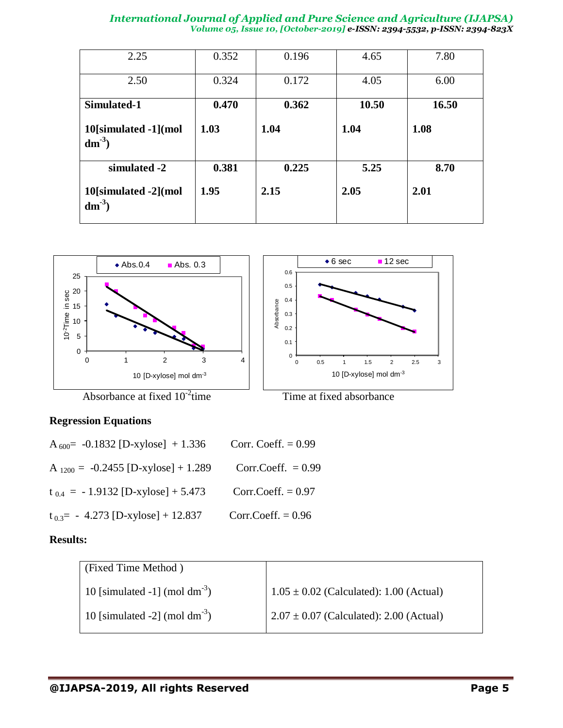#### *International Journal of Applied and Pure Science and Agriculture (IJAPSA) Volume 05, Issue 10, [October-2019] e-ISSN: 2394-5532, p-ISSN: 2394-823X*

| 2.25                              | 0.352 | 0.196 | 4.65  | 7.80  |
|-----------------------------------|-------|-------|-------|-------|
| 2.50                              | 0.324 | 0.172 | 4.05  | 6.00  |
| Simulated-1                       | 0.470 | 0.362 | 10.50 | 16.50 |
| 10[simulated -1](mol<br>$dm^{-3}$ | 1.03  | 1.04  | 1.04  | 1.08  |
| simulated -2                      | 0.381 | 0.225 | 5.25  | 8.70  |
| 10[simulated -2](mol<br>$dm^{-3}$ | 1.95  | 2.15  | 2.05  | 2.01  |





### Absorbance at fixed  $10^{-2}$ time

Time at fixed absorbance

### **Regression Equations**

| A <sub>600</sub> = -0.1832 [D-xylose] + 1.336 | Corr. Coeff. $= 0.99$ |
|-----------------------------------------------|-----------------------|
| A $_{1200}$ = -0.2455 [D-xylose] + 1.289      | Corr.Coeff. $= 0.99$  |
| $t_{0.4}$ = -1.9132 [D-xylose] + 5.473        | Corr.Coeff. $= 0.97$  |
| $t_{0.3}$ = - 4.273 [D-xylose] + 12.837       | Corr.Coeff. $= 0.96$  |

### **Results:**

| (Fixed Time Method)                       |                                             |
|-------------------------------------------|---------------------------------------------|
| 10 [simulated -1] (mol dm <sup>-3</sup> ) | $1.05 \pm 0.02$ (Calculated): 1.00 (Actual) |
| 10 [simulated -2] (mol dm <sup>-3</sup> ) | $2.07 \pm 0.07$ (Calculated): 2.00 (Actual) |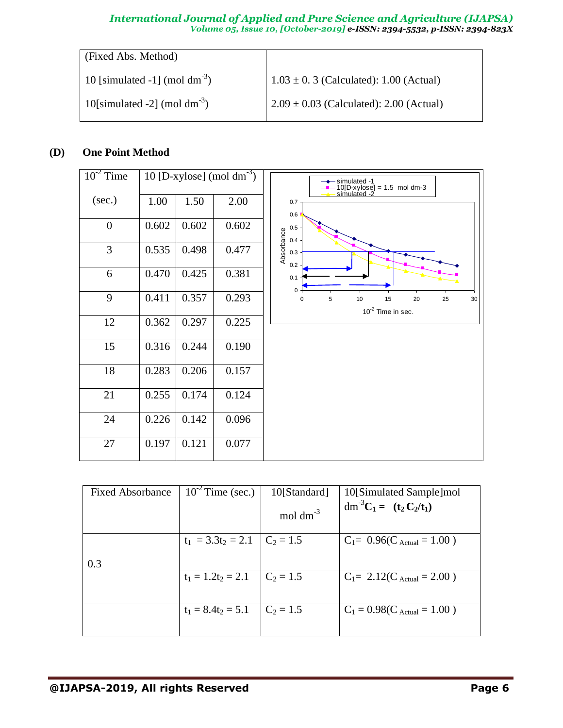#### *International Journal of Applied and Pure Science and Agriculture (IJAPSA) Volume 05, Issue 10, [October-2019] e-ISSN: 2394-5532, p-ISSN: 2394-823X*

| (Fixed Abs. Method)                       |                                             |
|-------------------------------------------|---------------------------------------------|
| 10 [simulated -1] (mol dm <sup>-3</sup> ) | $1.03 \pm 0.3$ (Calculated): 1.00 (Actual)  |
| 10 [simulated -2] (mol dm <sup>-3</sup> ) | $2.09 \pm 0.03$ (Calculated): 2.00 (Actual) |

### **(D) One Point Method**

| $10^{-2}$ Time |       |       | 10 [D-xylose] (mol $dm^{-3}$ ) | $\rightarrow$ simulated -1<br>$-10[D-xylose] = 1.5 \text{ mol dm-3}$<br>simulated -2 |
|----------------|-------|-------|--------------------------------|--------------------------------------------------------------------------------------|
| (sec.)         | 1.00  | 1.50  | 2.00                           | 0.7<br>0.6                                                                           |
| $\overline{0}$ | 0.602 | 0.602 | 0.602                          | $0.5\,$<br>0.4                                                                       |
| 3              | 0.535 | 0.498 | 0.477                          | Absorbance<br>0.3<br>0.2                                                             |
| 6              | 0.470 | 0.425 | 0.381                          | 0.1<br>$\mathbf{0}$                                                                  |
| 9              | 0.411 | 0.357 | 0.293                          | 5<br>$10$<br>15<br>20<br>25<br>30<br>0<br>$10^{-2}$ Time in sec.                     |
| 12             | 0.362 | 0.297 | 0.225                          |                                                                                      |
| 15             | 0.316 | 0.244 | 0.190                          |                                                                                      |
| 18             | 0.283 | 0.206 | 0.157                          |                                                                                      |
| 21             | 0.255 | 0.174 | 0.124                          |                                                                                      |
| 24             | 0.226 | 0.142 | 0.096                          |                                                                                      |
| 27             | 0.197 | 0.121 | 0.077                          |                                                                                      |

| <b>Fixed Absorbance</b> | $10^{-2}$ Time (sec.)            | 10[Standard]         | 10[Simulated Sample]mol                                                            |
|-------------------------|----------------------------------|----------------------|------------------------------------------------------------------------------------|
|                         |                                  | mol dm <sup>-3</sup> | dm <sup>-3</sup> C <sub>1</sub> = (t <sub>2</sub> C <sub>2</sub> /t <sub>1</sub> ) |
|                         | $t_1 = 3.3t_2 = 2.1$ $C_2 = 1.5$ |                      | $C_1 = 0.96(C_{\text{Actual}} = 1.00)$                                             |
| 0.3                     |                                  |                      |                                                                                    |
|                         | $t_1 = 1.2t_2 = 2.1$             | $C_2 = 1.5$          | $C_1 = 2.12(C_{\text{Actual}} = 2.00)$                                             |
|                         | $t_1 = 8.4t_2 = 5.1$             | $C_2 = 1.5$          | $C_1 = 0.98(C_{\text{Actual}} = 1.00)$                                             |
|                         |                                  |                      |                                                                                    |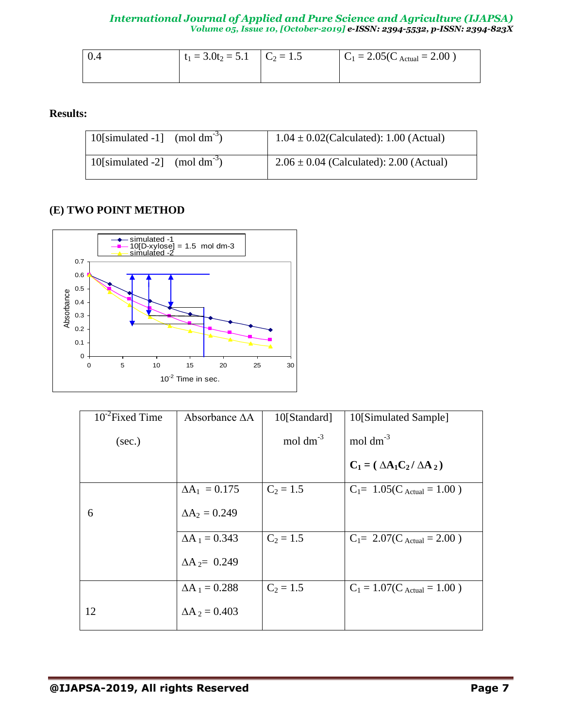| $\overline{0.4}$ | $t_1 = 3.0t_2 = 5.1$ $C_2 = 1.5$ | $C_1 = 2.05(C_{\text{Actual}} = 2.00)$ |
|------------------|----------------------------------|----------------------------------------|
|                  |                                  |                                        |

**Results:**

| 10[simulated -1] $\pmod{dm^{-3}}$         | $1.04 \pm 0.02$ (Calculated): 1.00 (Actual) |
|-------------------------------------------|---------------------------------------------|
| 10 [simulated -2] (mol dm <sup>-3</sup> ) | $2.06 \pm 0.04$ (Calculated): 2.00 (Actual) |

### **(E) TWO POINT METHOD**



| $10^{-2}$ Fixed Time | Absorbance $\Delta A$ | 10[Standard]  | 10[Simulated Sample]                   |
|----------------------|-----------------------|---------------|----------------------------------------|
| (sec.)               |                       | mol $dm^{-3}$ | mol $dm^{-3}$                          |
|                      |                       |               | $C_1 = (\Delta A_1 C_2 / \Delta A_2)$  |
|                      | $\Delta A_1 = 0.175$  | $C_2 = 1.5$   | $C_1 = 1.05(C_{\text{Actual}} = 1.00)$ |
| 6                    | $\Delta A_2 = 0.249$  |               |                                        |
|                      | $\Delta A_1 = 0.343$  | $C_2 = 1.5$   | $C_1 = 2.07(C_{\text{Actual}} = 2.00)$ |
|                      | $\Delta A_2 = 0.249$  |               |                                        |
|                      | $\Delta A_1 = 0.288$  | $C_2 = 1.5$   | $C_1 = 1.07(C_{\text{Actual}} = 1.00)$ |
| 12                   | $\Delta A_2 = 0.403$  |               |                                        |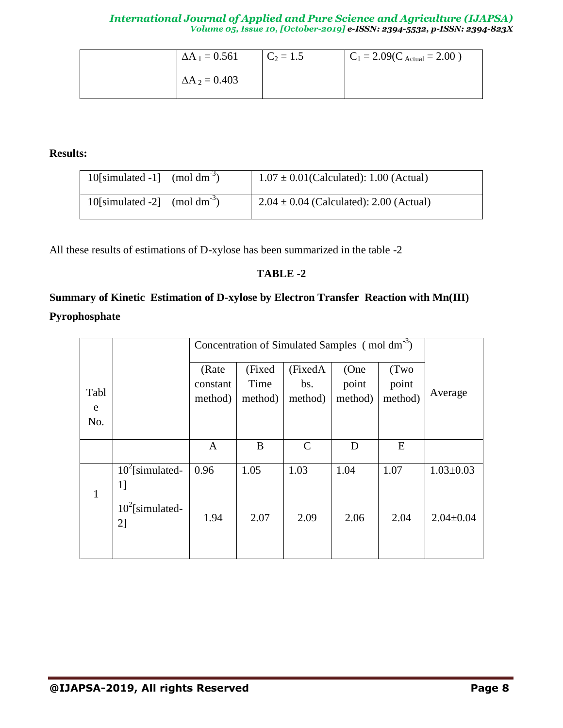| $\Delta A_1 = 0.561$ | $C_2 = 1.5$ | $C_1 = 2.09$ (C <sub>Actual</sub> = 2.00) |
|----------------------|-------------|-------------------------------------------|
| $\Delta A_2 = 0.403$ |             |                                           |

**Results:**

| 10 [simulated -1] $\pmod{dm^{-3}}$ | $1.07 \pm 0.01$ (Calculated): 1.00 (Actual) |
|------------------------------------|---------------------------------------------|
| 10 [simulated -2] $\pmod{dm^{-3}}$ | $2.04 \pm 0.04$ (Calculated): 2.00 (Actual) |

All these results of estimations of D-xylose has been summarized in the table -2

### **TABLE -2**

## **Summary of Kinetic Estimation of D-xylose by Electron Transfer Reaction with Mn(III) Pyrophosphate**

|                  |                          | Concentration of Simulated Samples (mol dm <sup>-3</sup> ) |                           |                            |                          |                          |                 |
|------------------|--------------------------|------------------------------------------------------------|---------------------------|----------------------------|--------------------------|--------------------------|-----------------|
| Tabl<br>e<br>No. |                          | (Rate<br>constant<br>method)                               | (Fixed<br>Time<br>method) | (FixedA)<br>bs.<br>method) | (One<br>point<br>method) | (Two<br>point<br>method) | Average         |
|                  |                          | A                                                          | B                         | $\mathcal{C}$              | D                        | E                        |                 |
| $\mathbf{1}$     | $10^2$ [simulated-<br>1] | 0.96                                                       | 1.05                      | 1.03                       | 1.04                     | 1.07                     | $1.03 \pm 0.03$ |
|                  | $10^2$ [simulated-<br>2] | 1.94                                                       | 2.07                      | 2.09                       | 2.06                     | 2.04                     | $2.04 \pm 0.04$ |